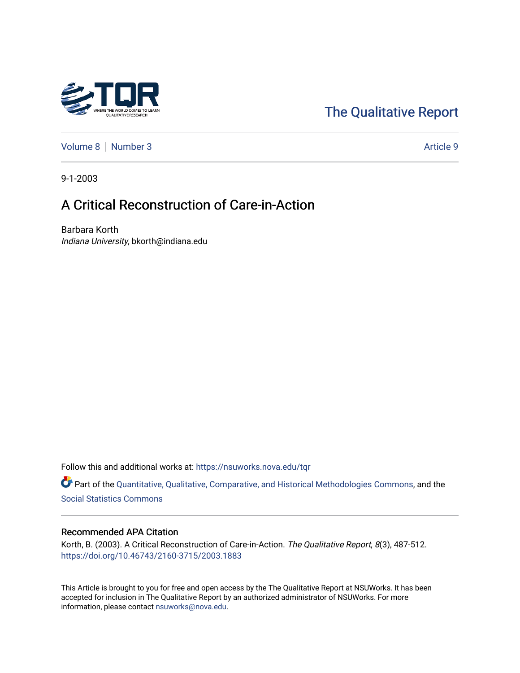# [The Qualitative Report](https://nsuworks.nova.edu/tqr)

[Volume 8](https://nsuworks.nova.edu/tqr/vol8) | [Number 3](https://nsuworks.nova.edu/tqr/vol8/iss3) Article 9

9-1-2003

# A Critical Reconstruction of Care-in-Action

Barbara Korth Indiana University, bkorth@indiana.edu

Follow this and additional works at: [https://nsuworks.nova.edu/tqr](https://nsuworks.nova.edu/tqr?utm_source=nsuworks.nova.edu%2Ftqr%2Fvol8%2Fiss3%2F9&utm_medium=PDF&utm_campaign=PDFCoverPages) 

Part of the [Quantitative, Qualitative, Comparative, and Historical Methodologies Commons,](http://network.bepress.com/hgg/discipline/423?utm_source=nsuworks.nova.edu%2Ftqr%2Fvol8%2Fiss3%2F9&utm_medium=PDF&utm_campaign=PDFCoverPages) and the [Social Statistics Commons](http://network.bepress.com/hgg/discipline/1275?utm_source=nsuworks.nova.edu%2Ftqr%2Fvol8%2Fiss3%2F9&utm_medium=PDF&utm_campaign=PDFCoverPages) 

#### Recommended APA Citation

Korth, B. (2003). A Critical Reconstruction of Care-in-Action. The Qualitative Report, 8(3), 487-512. <https://doi.org/10.46743/2160-3715/2003.1883>

This Article is brought to you for free and open access by the The Qualitative Report at NSUWorks. It has been accepted for inclusion in The Qualitative Report by an authorized administrator of NSUWorks. For more information, please contact [nsuworks@nova.edu.](mailto:nsuworks@nova.edu)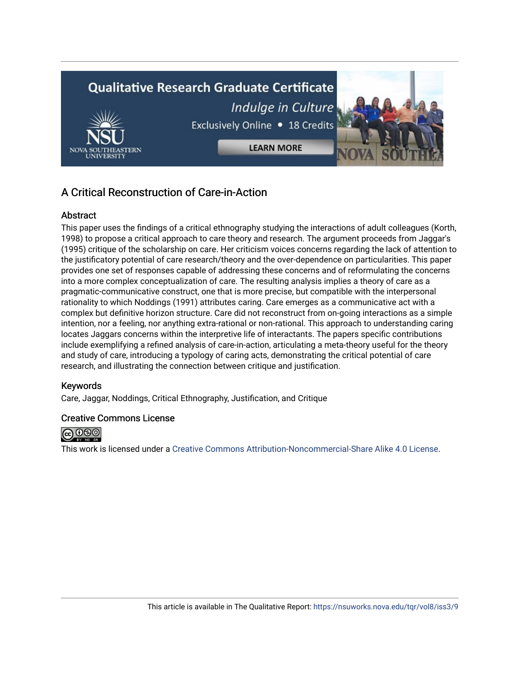

## A Critical Reconstruction of Care-in-Action

#### Abstract

This paper uses the findings of a critical ethnography studying the interactions of adult colleagues (Korth, 1998) to propose a critical approach to care theory and research. The argument proceeds from Jaggar's (1995) critique of the scholarship on care. Her criticism voices concerns regarding the lack of attention to the justificatory potential of care research/theory and the over-dependence on particularities. This paper provides one set of responses capable of addressing these concerns and of reformulating the concerns into a more complex conceptualization of care. The resulting analysis implies a theory of care as a pragmatic-communicative construct, one that is more precise, but compatible with the interpersonal rationality to which Noddings (1991) attributes caring. Care emerges as a communicative act with a complex but definitive horizon structure. Care did not reconstruct from on-going interactions as a simple intention, nor a feeling, nor anything extra-rational or non-rational. This approach to understanding caring locates Jaggars concerns within the interpretive life of interactants. The papers specific contributions include exemplifying a refined analysis of care-in-action, articulating a meta-theory useful for the theory and study of care, introducing a typology of caring acts, demonstrating the critical potential of care research, and illustrating the connection between critique and justification.

#### Keywords

Care, Jaggar, Noddings, Critical Ethnography, Justification, and Critique

#### Creative Commons License



This work is licensed under a [Creative Commons Attribution-Noncommercial-Share Alike 4.0 License](https://creativecommons.org/licenses/by-nc-sa/4.0/).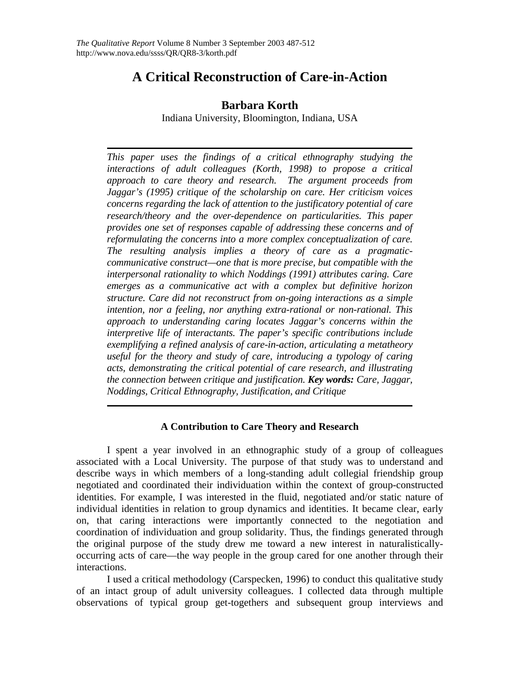# **A Critical Reconstruction of Care-in-Action**

## **Barbara Korth**

Indiana University, Bloomington, Indiana, USA

*This paper uses the findings of a critical ethnography studying the interactions of adult colleagues (Korth, 1998) to propose a critical approach to care theory and research. The argument proceeds from Jaggar's (1995) critique of the scholarship on care. Her criticism voices concerns regarding the lack of attention to the justificatory potential of care research/theory and the over-dependence on particularities. This paper provides one set of responses capable of addressing these concerns and of reformulating the concerns into a more complex conceptualization of care. The resulting analysis implies a theory of care as a pragmaticcommunicative construct—one that is more precise, but compatible with the interpersonal rationality to which Noddings (1991) attributes caring. Care emerges as a communicative act with a complex but definitive horizon structure. Care did not reconstruct from on-going interactions as a simple intention, nor a feeling, nor anything extra-rational or non-rational. This approach to understanding caring locates Jaggar's concerns within the interpretive life of interactants. The paper's specific contributions include exemplifying a refined analysis of care-in-action, articulating a metatheory useful for the theory and study of care, introducing a typology of caring acts, demonstrating the critical potential of care research, and illustrating the connection between critique and justification. Key words: Care, Jaggar, Noddings, Critical Ethnography, Justification, and Critique* 

### **A Contribution to Care Theory and Research**

I spent a year involved in an ethnographic study of a group of colleagues associated with a Local University. The purpose of that study was to understand and describe ways in which members of a long-standing adult collegial friendship group negotiated and coordinated their individuation within the context of group-constructed identities. For example, I was interested in the fluid, negotiated and/or static nature of individual identities in relation to group dynamics and identities. It became clear, early on, that caring interactions were importantly connected to the negotiation and coordination of individuation and group solidarity. Thus, the findings generated through the original purpose of the study drew me toward a new interest in naturalisticallyoccurring acts of care—the way people in the group cared for one another through their interactions.

I used a critical methodology (Carspecken, 1996) to conduct this qualitative study of an intact group of adult university colleagues. I collected data through multiple observations of typical group get-togethers and subsequent group interviews and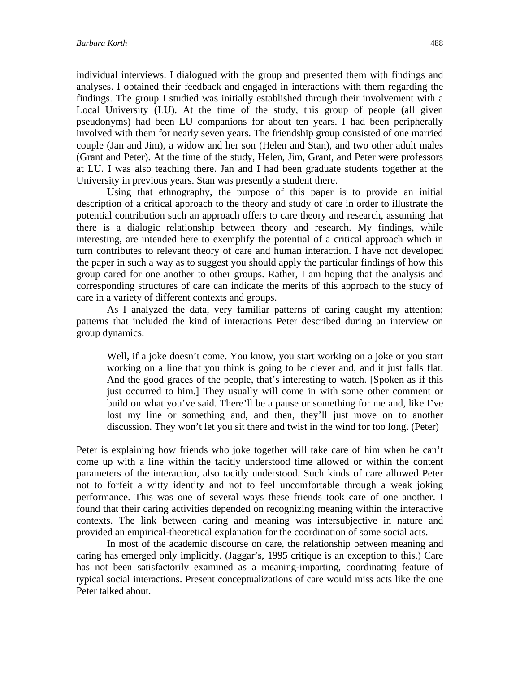individual interviews. I dialogued with the group and presented them with findings and analyses. I obtained their feedback and engaged in interactions with them regarding the findings. The group I studied was initially established through their involvement with a Local University (LU). At the time of the study, this group of people (all given pseudonyms) had been LU companions for about ten years. I had been peripherally involved with them for nearly seven years. The friendship group consisted of one married couple (Jan and Jim), a widow and her son (Helen and Stan), and two other adult males (Grant and Peter). At the time of the study, Helen, Jim, Grant, and Peter were professors at LU. I was also teaching there. Jan and I had been graduate students together at the University in previous years. Stan was presently a student there.

Using that ethnography, the purpose of this paper is to provide an initial description of a critical approach to the theory and study of care in order to illustrate the potential contribution such an approach offers to care theory and research, assuming that there is a dialogic relationship between theory and research. My findings, while interesting, are intended here to exemplify the potential of a critical approach which in turn contributes to relevant theory of care and human interaction. I have not developed the paper in such a way as to suggest you should apply the particular findings of how this group cared for one another to other groups. Rather, I am hoping that the analysis and corresponding structures of care can indicate the merits of this approach to the study of care in a variety of different contexts and groups.

As I analyzed the data, very familiar patterns of caring caught my attention; patterns that included the kind of interactions Peter described during an interview on group dynamics.

Well, if a joke doesn't come. You know, you start working on a joke or you start working on a line that you think is going to be clever and, and it just falls flat. And the good graces of the people, that's interesting to watch. [Spoken as if this just occurred to him.] They usually will come in with some other comment or build on what you've said. There'll be a pause or something for me and, like I've lost my line or something and, and then, they'll just move on to another discussion. They won't let you sit there and twist in the wind for too long. (Peter)

Peter is explaining how friends who joke together will take care of him when he can't come up with a line within the tacitly understood time allowed or within the content parameters of the interaction, also tacitly understood. Such kinds of care allowed Peter not to forfeit a witty identity and not to feel uncomfortable through a weak joking performance. This was one of several ways these friends took care of one another. I found that their caring activities depended on recognizing meaning within the interactive contexts. The link between caring and meaning was intersubjective in nature and provided an empirical-theoretical explanation for the coordination of some social acts.

In most of the academic discourse on care, the relationship between meaning and caring has emerged only implicitly. (Jaggar's, 1995 critique is an exception to this.) Care has not been satisfactorily examined as a meaning-imparting, coordinating feature of typical social interactions. Present conceptualizations of care would miss acts like the one Peter talked about.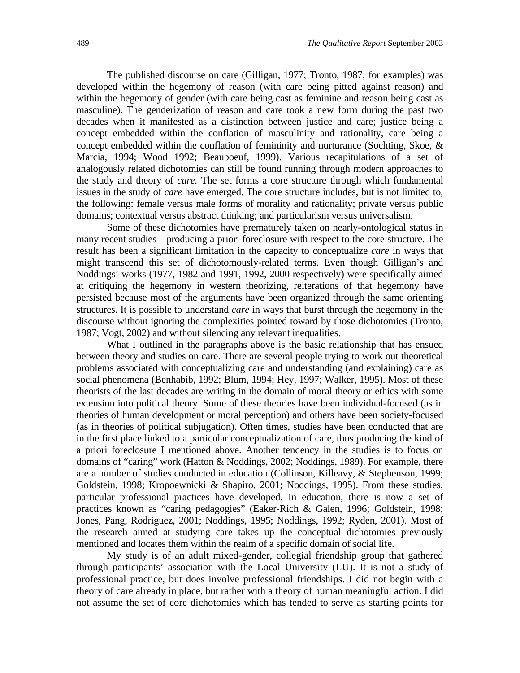The published discourse on care (Gilligan, 1977; Tronto, 1987; for examples) was developed within the hegemony of reason (with care being pitted against reason) and within the hegemony of gender (with care being cast as feminine and reason being cast as masculine). The genderization of reason and care took a new form during the past two decades when it manifested as a distinction between justice and care; justice being a concept embedded within the conflation of masculinity and rationality, care being a concept embedded within the conflation of femininity and nurturance (Sochting, Skoe, & Marcia, 1994; Wood 1992; Beauboeuf, 1999). Various recapitulations of a set of analogously related dichotomies can still be found running through modern approaches to the study and theory of *care.* The set forms a core structure through which fundamental issues in the study of *care* have emerged. The core structure includes, but is not limited to, the following: female versus male forms of morality and rationality; private versus public domains; contextual versus abstract thinking; and particularism versus universalism.

Some of these dichotomies have prematurely taken on nearly-ontological status in many recent studies—producing a priori foreclosure with respect to the core structure. The result has been a significant limitation in the capacity to conceptualize *care* in ways that might transcend this set of dichotomously-related terms. Even though Gilligan's and Noddings' works (1977, 1982 and 1991, 1992, 2000 respectively) were specifically aimed at critiquing the hegemony in western theorizing, reiterations of that hegemony have persisted because most of the arguments have been organized through the same orienting structures. It is possible to understand *care* in ways that burst through the hegemony in the discourse without ignoring the complexities pointed toward by those dichotomies (Tronto, 1987; Vogt, 2002) and without silencing any relevant inequalities.

What I outlined in the paragraphs above is the basic relationship that has ensued between theory and studies on care. There are several people trying to work out theoretical problems associated with conceptualizing care and understanding (and explaining) care as social phenomena (Benhabib, 1992; Blum, 1994; Hey, 1997; Walker, 1995). Most of these theorists of the last decades are writing in the domain of moral theory or ethics with some extension into political theory. Some of these theories have been individual-focused (as in theories of human development or moral perception) and others have been society-focused (as in theories of political subjugation). Often times, studies have been conducted that are in the first place linked to a particular conceptualization of care, thus producing the kind of a priori foreclosure I mentioned above. Another tendency in the studies is to focus on domains of "caring" work (Hatton & Noddings, 2002; Noddings, 1989). For example, there are a number of studies conducted in education (Collinson, Killeavy, & Stephenson, 1999; Goldstein, 1998; Kropoewnicki & Shapiro, 2001; Noddings, 1995). From these studies, particular professional practices have developed. In education, there is now a set of practices known as "caring pedagogies" (Eaker-Rich & Galen, 1996; Goldstein, 1998; Jones, Pang, Rodriguez, 2001; Noddings, 1995; Noddings, 1992; Ryden, 2001). Most of the research aimed at studying care takes up the conceptual dichotomies previously mentioned and locates them within the realm of a specific domain of social life.

My study is of an adult mixed-gender, collegial friendship group that gathered through participants' association with the Local University (LU). It is not a study of professional practice, but does involve professional friendships. I did not begin with a theory of care already in place, but rather with a theory of human meaningful action. I did not assume the set of core dichotomies which has tended to serve as starting points for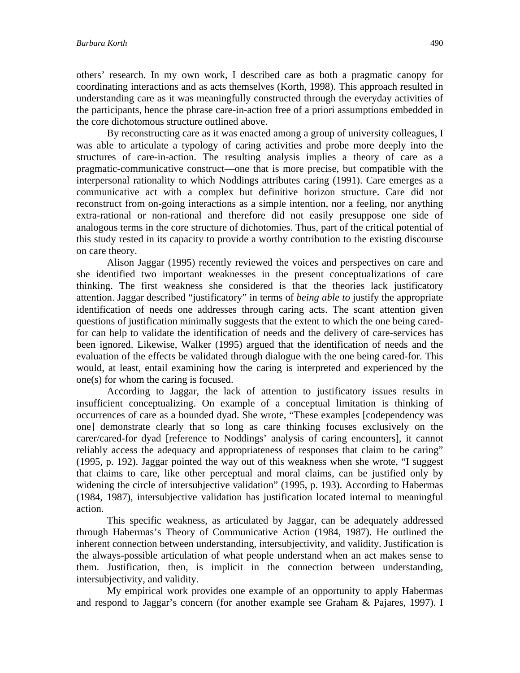others' research. In my own work, I described care as both a pragmatic canopy for coordinating interactions and as acts themselves (Korth, 1998). This approach resulted in understanding care as it was meaningfully constructed through the everyday activities of the participants, hence the phrase care-in-action free of a priori assumptions embedded in the core dichotomous structure outlined above.

By reconstructing care as it was enacted among a group of university colleagues, I was able to articulate a typology of caring activities and probe more deeply into the structures of care-in-action. The resulting analysis implies a theory of care as a pragmatic-communicative construct—one that is more precise, but compatible with the interpersonal rationality to which Noddings attributes caring (1991). Care emerges as a communicative act with a complex but definitive horizon structure. Care did not reconstruct from on-going interactions as a simple intention, nor a feeling, nor anything extra-rational or non-rational and therefore did not easily presuppose one side of analogous terms in the core structure of dichotomies. Thus, part of the critical potential of this study rested in its capacity to provide a worthy contribution to the existing discourse on care theory.

 Alison Jaggar (1995) recently reviewed the voices and perspectives on care and she identified two important weaknesses in the present conceptualizations of care thinking. The first weakness she considered is that the theories lack justificatory attention. Jaggar described "justificatory" in terms of *being able to* justify the appropriate identification of needs one addresses through caring acts. The scant attention given questions of justification minimally suggests that the extent to which the one being caredfor can help to validate the identification of needs and the delivery of care-services has been ignored. Likewise, Walker (1995) argued that the identification of needs and the evaluation of the effects be validated through dialogue with the one being cared-for. This would, at least, entail examining how the caring is interpreted and experienced by the one(s) for whom the caring is focused.

According to Jaggar, the lack of attention to justificatory issues results in insufficient conceptualizing. On example of a conceptual limitation is thinking of occurrences of care as a bounded dyad. She wrote, "These examples [codependency was one] demonstrate clearly that so long as care thinking focuses exclusively on the carer/cared-for dyad [reference to Noddings' analysis of caring encounters], it cannot reliably access the adequacy and appropriateness of responses that claim to be caring" (1995, p. 192). Jaggar pointed the way out of this weakness when she wrote, "I suggest that claims to care, like other perceptual and moral claims, can be justified only by widening the circle of intersubjective validation" (1995, p. 193). According to Habermas (1984, 1987), intersubjective validation has justification located internal to meaningful action.

This specific weakness, as articulated by Jaggar, can be adequately addressed through Habermas's Theory of Communicative Action (1984, 1987). He outlined the inherent connection between understanding, intersubjectivity, and validity. Justification is the always-possible articulation of what people understand when an act makes sense to them. Justification, then, is implicit in the connection between understanding, intersubjectivity, and validity.

My empirical work provides one example of an opportunity to apply Habermas and respond to Jaggar's concern (for another example see Graham & Pajares, 1997). I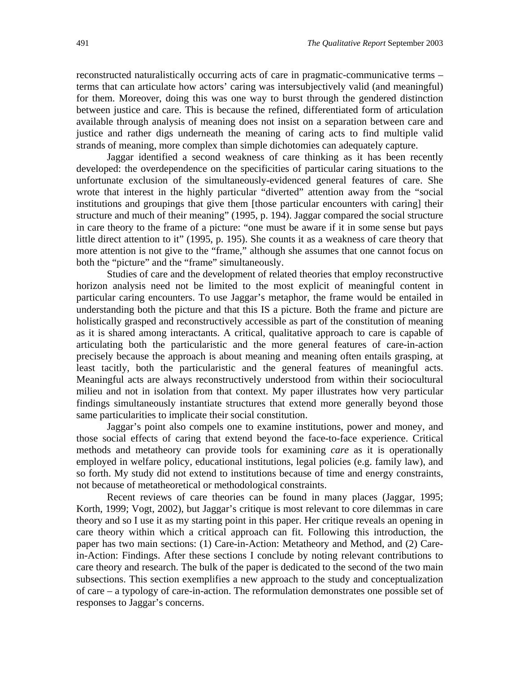reconstructed naturalistically occurring acts of care in pragmatic-communicative terms – terms that can articulate how actors' caring was intersubjectively valid (and meaningful) for them. Moreover, doing this was one way to burst through the gendered distinction between justice and care. This is because the refined, differentiated form of articulation available through analysis of meaning does not insist on a separation between care and justice and rather digs underneath the meaning of caring acts to find multiple valid strands of meaning, more complex than simple dichotomies can adequately capture.

 Jaggar identified a second weakness of care thinking as it has been recently developed: the overdependence on the specificities of particular caring situations to the unfortunate exclusion of the simultaneously-evidenced general features of care. She wrote that interest in the highly particular "diverted" attention away from the "social institutions and groupings that give them [those particular encounters with caring] their structure and much of their meaning" (1995, p. 194). Jaggar compared the social structure in care theory to the frame of a picture: "one must be aware if it in some sense but pays little direct attention to it" (1995, p. 195). She counts it as a weakness of care theory that more attention is not give to the "frame," although she assumes that one cannot focus on both the "picture" and the "frame" simultaneously.

Studies of care and the development of related theories that employ reconstructive horizon analysis need not be limited to the most explicit of meaningful content in particular caring encounters. To use Jaggar's metaphor, the frame would be entailed in understanding both the picture and that this IS a picture. Both the frame and picture are holistically grasped and reconstructively accessible as part of the constitution of meaning as it is shared among interactants. A critical, qualitative approach to care is capable of articulating both the particularistic and the more general features of care-in-action precisely because the approach is about meaning and meaning often entails grasping, at least tacitly, both the particularistic and the general features of meaningful acts. Meaningful acts are always reconstructively understood from within their sociocultural milieu and not in isolation from that context. My paper illustrates how very particular findings simultaneously instantiate structures that extend more generally beyond those same particularities to implicate their social constitution.

Jaggar's point also compels one to examine institutions, power and money, and those social effects of caring that extend beyond the face-to-face experience. Critical methods and metatheory can provide tools for examining *care* as it is operationally employed in welfare policy, educational institutions, legal policies (e.g. family law), and so forth. My study did not extend to institutions because of time and energy constraints, not because of metatheoretical or methodological constraints.

Recent reviews of care theories can be found in many places (Jaggar, 1995; Korth, 1999; Vogt, 2002), but Jaggar's critique is most relevant to core dilemmas in care theory and so I use it as my starting point in this paper. Her critique reveals an opening in care theory within which a critical approach can fit. Following this introduction, the paper has two main sections: (1) Care-in-Action: Metatheory and Method, and (2) Carein-Action: Findings. After these sections I conclude by noting relevant contributions to care theory and research. The bulk of the paper is dedicated to the second of the two main subsections. This section exemplifies a new approach to the study and conceptualization of care – a typology of care-in-action. The reformulation demonstrates one possible set of responses to Jaggar's concerns.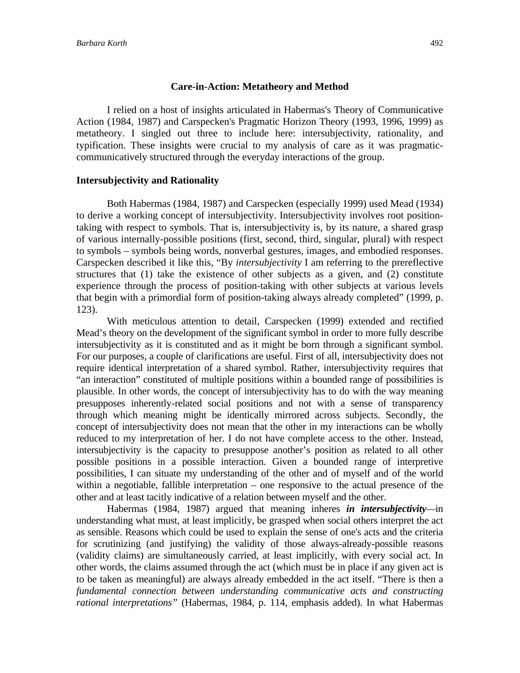#### **Care-in-Action: Metatheory and Method**

 I relied on a host of insights articulated in Habermas's Theory of Communicative Action (1984, 1987) and Carspecken's Pragmatic Horizon Theory (1993, 1996, 1999) as metatheory. I singled out three to include here: intersubjectivity, rationality, and typification. These insights were crucial to my analysis of care as it was pragmaticcommunicatively structured through the everyday interactions of the group.

#### **Intersubjectivity and Rationality**

 Both Habermas (1984, 1987) and Carspecken (especially 1999) used Mead (1934) to derive a working concept of intersubjectivity. Intersubjectivity involves root positiontaking with respect to symbols. That is, intersubjectivity is, by its nature, a shared grasp of various internally-possible positions (first, second, third, singular, plural) with respect to symbols – symbols being words, nonverbal gestures, images, and embodied responses. Carspecken described it like this, "By *intersubjectivity* I am referring to the prereflective structures that (1) take the existence of other subjects as a given, and (2) constitute experience through the process of position-taking with other subjects at various levels that begin with a primordial form of position-taking always already completed" (1999, p. 123).

With meticulous attention to detail, Carspecken (1999) extended and rectified Mead's theory on the development of the significant symbol in order to more fully describe intersubjectivity as it is constituted and as it might be born through a significant symbol. For our purposes, a couple of clarifications are useful. First of all, intersubjectivity does not require identical interpretation of a shared symbol. Rather, intersubjectivity requires that "an interaction" constituted of multiple positions within a bounded range of possibilities is plausible. In other words, the concept of intersubjectivity has to do with the way meaning presupposes inherently-related social positions and not with a sense of transparency through which meaning might be identically mirrored across subjects. Secondly, the concept of intersubjectivity does not mean that the other in my interactions can be wholly reduced to my interpretation of her. I do not have complete access to the other. Instead, intersubjectivity is the capacity to presuppose another's position as related to all other possible positions in a possible interaction. Given a bounded range of interpretive possibilities, I can situate my understanding of the other and of myself and of the world within a negotiable, fallible interpretation – one responsive to the actual presence of the other and at least tacitly indicative of a relation between myself and the other.

 Habermas (1984, 1987) argued that meaning inheres *in intersubjectivity—*in understanding what must, at least implicitly, be grasped when social others interpret the act as sensible. Reasons which could be used to explain the sense of one's acts and the criteria for scrutinizing (and justifying) the validity of those always-already-possible reasons (validity claims) are simultaneously carried, at least implicitly, with every social act. In other words, the claims assumed through the act (which must be in place if any given act is to be taken as meaningful) are always already embedded in the act itself. "There is then a *fundamental connection between understanding communicative acts and constructing rational interpretations"* (Habermas, 1984, p. 114, emphasis added). In what Habermas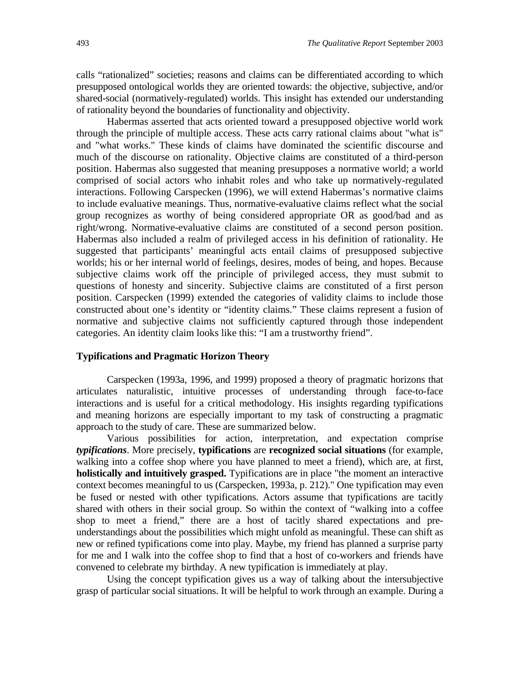calls "rationalized" societies; reasons and claims can be differentiated according to which presupposed ontological worlds they are oriented towards: the objective, subjective, and/or shared-social (normatively-regulated) worlds. This insight has extended our understanding of rationality beyond the boundaries of functionality and objectivity.

 Habermas asserted that acts oriented toward a presupposed objective world work through the principle of multiple access. These acts carry rational claims about "what is" and "what works." These kinds of claims have dominated the scientific discourse and much of the discourse on rationality. Objective claims are constituted of a third-person position. Habermas also suggested that meaning presupposes a normative world; a world comprised of social actors who inhabit roles and who take up normatively-regulated interactions. Following Carspecken (1996), we will extend Habermas's normative claims to include evaluative meanings. Thus, normative-evaluative claims reflect what the social group recognizes as worthy of being considered appropriate OR as good/bad and as right/wrong. Normative-evaluative claims are constituted of a second person position. Habermas also included a realm of privileged access in his definition of rationality. He suggested that participants' meaningful acts entail claims of presupposed subjective worlds; his or her internal world of feelings, desires, modes of being, and hopes. Because subjective claims work off the principle of privileged access, they must submit to questions of honesty and sincerity. Subjective claims are constituted of a first person position. Carspecken (1999) extended the categories of validity claims to include those constructed about one's identity or "identity claims." These claims represent a fusion of normative and subjective claims not sufficiently captured through those independent categories. An identity claim looks like this: "I am a trustworthy friend".

#### **Typifications and Pragmatic Horizon Theory**

Carspecken (1993a, 1996, and 1999) proposed a theory of pragmatic horizons that articulates naturalistic, intuitive processes of understanding through face-to-face interactions and is useful for a critical methodology. His insights regarding typifications and meaning horizons are especially important to my task of constructing a pragmatic approach to the study of care. These are summarized below.

 Various possibilities for action, interpretation, and expectation comprise *typifications*. More precisely, **typifications** are **recognized social situations** (for example, walking into a coffee shop where you have planned to meet a friend), which are, at first, **holistically and intuitively grasped.** Typifications are in place "the moment an interactive context becomes meaningful to us (Carspecken, 1993a, p. 212)." One typification may even be fused or nested with other typifications. Actors assume that typifications are tacitly shared with others in their social group. So within the context of "walking into a coffee shop to meet a friend," there are a host of tacitly shared expectations and preunderstandings about the possibilities which might unfold as meaningful. These can shift as new or refined typifications come into play. Maybe, my friend has planned a surprise party for me and I walk into the coffee shop to find that a host of co-workers and friends have convened to celebrate my birthday. A new typification is immediately at play.

 Using the concept typification gives us a way of talking about the intersubjective grasp of particular social situations. It will be helpful to work through an example. During a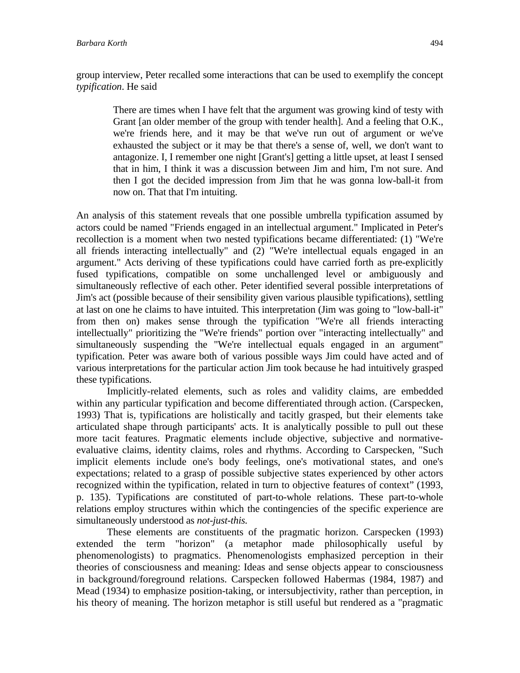group interview, Peter recalled some interactions that can be used to exemplify the concept *typification*. He said

There are times when I have felt that the argument was growing kind of testy with Grant [an older member of the group with tender health]. And a feeling that O.K., we're friends here, and it may be that we've run out of argument or we've exhausted the subject or it may be that there's a sense of, well, we don't want to antagonize. I, I remember one night [Grant's] getting a little upset, at least I sensed that in him, I think it was a discussion between Jim and him, I'm not sure. And then I got the decided impression from Jim that he was gonna low-ball-it from now on. That that I'm intuiting.

An analysis of this statement reveals that one possible umbrella typification assumed by actors could be named "Friends engaged in an intellectual argument." Implicated in Peter's recollection is a moment when two nested typifications became differentiated: (1) "We're all friends interacting intellectually" and (2) "We're intellectual equals engaged in an argument." Acts deriving of these typifications could have carried forth as pre-explicitly fused typifications, compatible on some unchallenged level or ambiguously and simultaneously reflective of each other. Peter identified several possible interpretations of Jim's act (possible because of their sensibility given various plausible typifications), settling at last on one he claims to have intuited. This interpretation (Jim was going to "low-ball-it" from then on) makes sense through the typification "We're all friends interacting intellectually" prioritizing the "We're friends" portion over "interacting intellectually" and simultaneously suspending the "We're intellectual equals engaged in an argument" typification. Peter was aware both of various possible ways Jim could have acted and of various interpretations for the particular action Jim took because he had intuitively grasped these typifications.

 Implicitly-related elements, such as roles and validity claims, are embedded within any particular typification and become differentiated through action. (Carspecken, 1993) That is, typifications are holistically and tacitly grasped, but their elements take articulated shape through participants' acts. It is analytically possible to pull out these more tacit features. Pragmatic elements include objective, subjective and normativeevaluative claims, identity claims, roles and rhythms. According to Carspecken, "Such implicit elements include one's body feelings, one's motivational states, and one's expectations; related to a grasp of possible subjective states experienced by other actors recognized within the typification, related in turn to objective features of context" (1993, p. 135). Typifications are constituted of part-to-whole relations. These part-to-whole relations employ structures within which the contingencies of the specific experience are simultaneously understood as *not-just-this.* 

 These elements are constituents of the pragmatic horizon. Carspecken (1993) extended the term "horizon" (a metaphor made philosophically useful by phenomenologists) to pragmatics. Phenomenologists emphasized perception in their theories of consciousness and meaning: Ideas and sense objects appear to consciousness in background/foreground relations. Carspecken followed Habermas (1984, 1987) and Mead (1934) to emphasize position-taking, or intersubjectivity, rather than perception, in his theory of meaning. The horizon metaphor is still useful but rendered as a "pragmatic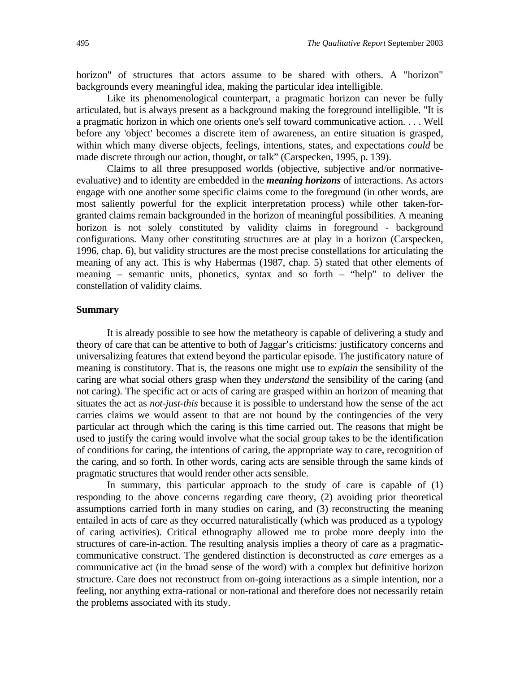horizon" of structures that actors assume to be shared with others. A "horizon" backgrounds every meaningful idea, making the particular idea intelligible.

 Like its phenomenological counterpart, a pragmatic horizon can never be fully articulated, but is always present as a background making the foreground intelligible. "It is a pragmatic horizon in which one orients one's self toward communicative action. . . . Well before any 'object' becomes a discrete item of awareness, an entire situation is grasped, within which many diverse objects, feelings, intentions, states, and expectations *could* be made discrete through our action, thought, or talk" (Carspecken, 1995, p. 139).

 Claims to all three presupposed worlds (objective, subjective and/or normativeevaluative) and to identity are embedded in the *meaning horizons* of interactions. As actors engage with one another some specific claims come to the foreground (in other words, are most saliently powerful for the explicit interpretation process) while other taken-forgranted claims remain backgrounded in the horizon of meaningful possibilities. A meaning horizon is not solely constituted by validity claims in foreground - background configurations. Many other constituting structures are at play in a horizon (Carspecken, 1996, chap. 6), but validity structures are the most precise constellations for articulating the meaning of any act. This is why Habermas (1987, chap. 5) stated that other elements of meaning – semantic units, phonetics, syntax and so forth – "help" to deliver the constellation of validity claims.

#### **Summary**

It is already possible to see how the metatheory is capable of delivering a study and theory of care that can be attentive to both of Jaggar's criticisms: justificatory concerns and universalizing features that extend beyond the particular episode. The justificatory nature of meaning is constitutory. That is, the reasons one might use to *explain* the sensibility of the caring are what social others grasp when they *understand* the sensibility of the caring (and not caring). The specific act or acts of caring are grasped within an horizon of meaning that situates the act as *not-just-this* because it is possible to understand how the sense of the act carries claims we would assent to that are not bound by the contingencies of the very particular act through which the caring is this time carried out. The reasons that might be used to justify the caring would involve what the social group takes to be the identification of conditions for caring, the intentions of caring, the appropriate way to care, recognition of the caring, and so forth. In other words, caring acts are sensible through the same kinds of pragmatic structures that would render other acts sensible.

In summary, this particular approach to the study of care is capable of (1) responding to the above concerns regarding care theory, (2) avoiding prior theoretical assumptions carried forth in many studies on caring, and (3) reconstructing the meaning entailed in acts of care as they occurred naturalistically (which was produced as a typology of caring activities). Critical ethnography allowed me to probe more deeply into the structures of care-in-action. The resulting analysis implies a theory of care as a pragmaticcommunicative construct. The gendered distinction is deconstructed as *care* emerges as a communicative act (in the broad sense of the word) with a complex but definitive horizon structure. Care does not reconstruct from on-going interactions as a simple intention, nor a feeling, nor anything extra-rational or non-rational and therefore does not necessarily retain the problems associated with its study.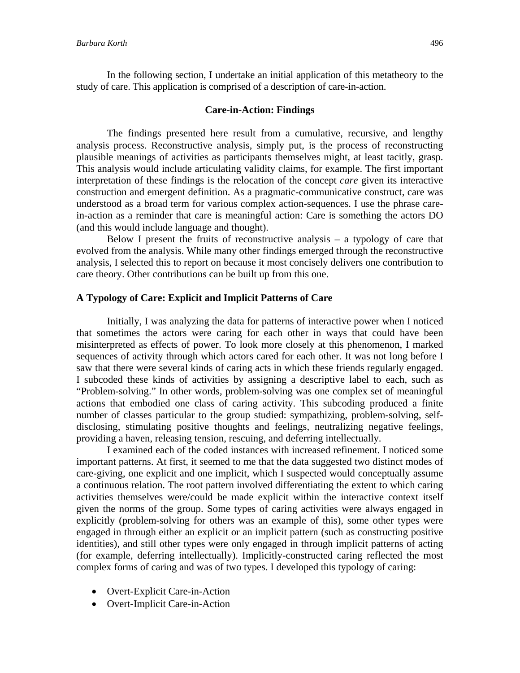In the following section, I undertake an initial application of this metatheory to the study of care. This application is comprised of a description of care-in-action.

#### **Care-in-Action: Findings**

The findings presented here result from a cumulative, recursive, and lengthy analysis process. Reconstructive analysis, simply put, is the process of reconstructing plausible meanings of activities as participants themselves might, at least tacitly, grasp. This analysis would include articulating validity claims, for example. The first important interpretation of these findings is the relocation of the concept *care* given its interactive construction and emergent definition. As a pragmatic-communicative construct, care was understood as a broad term for various complex action-sequences. I use the phrase carein-action as a reminder that care is meaningful action: Care is something the actors DO (and this would include language and thought).

Below I present the fruits of reconstructive analysis  $-$  a typology of care that evolved from the analysis. While many other findings emerged through the reconstructive analysis, I selected this to report on because it most concisely delivers one contribution to care theory. Other contributions can be built up from this one.

#### **A Typology of Care: Explicit and Implicit Patterns of Care**

 Initially, I was analyzing the data for patterns of interactive power when I noticed that sometimes the actors were caring for each other in ways that could have been misinterpreted as effects of power. To look more closely at this phenomenon, I marked sequences of activity through which actors cared for each other. It was not long before I saw that there were several kinds of caring acts in which these friends regularly engaged. I subcoded these kinds of activities by assigning a descriptive label to each, such as "Problem-solving." In other words, problem-solving was one complex set of meaningful actions that embodied one class of caring activity. This subcoding produced a finite number of classes particular to the group studied: sympathizing, problem-solving, selfdisclosing, stimulating positive thoughts and feelings, neutralizing negative feelings, providing a haven, releasing tension, rescuing, and deferring intellectually.

 I examined each of the coded instances with increased refinement. I noticed some important patterns. At first, it seemed to me that the data suggested two distinct modes of care-giving, one explicit and one implicit, which I suspected would conceptually assume a continuous relation. The root pattern involved differentiating the extent to which caring activities themselves were/could be made explicit within the interactive context itself given the norms of the group. Some types of caring activities were always engaged in explicitly (problem-solving for others was an example of this), some other types were engaged in through either an explicit or an implicit pattern (such as constructing positive identities), and still other types were only engaged in through implicit patterns of acting (for example, deferring intellectually). Implicitly-constructed caring reflected the most complex forms of caring and was of two types. I developed this typology of caring:

- Overt-Explicit Care-in-Action
- Overt-Implicit Care-in-Action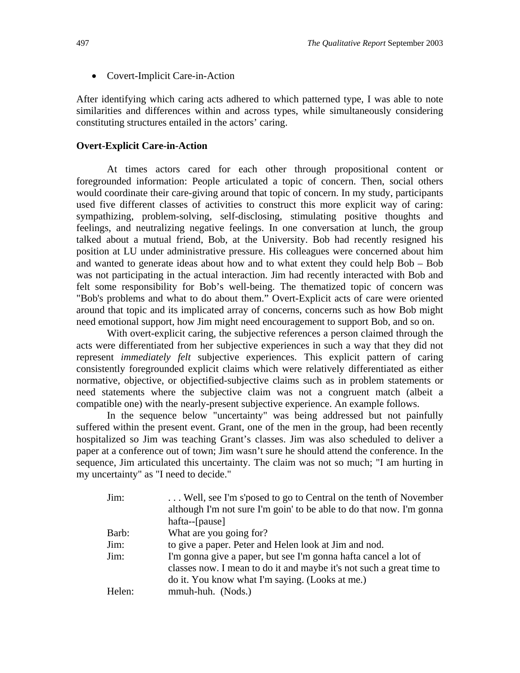• Covert-Implicit Care-in-Action

After identifying which caring acts adhered to which patterned type, I was able to note similarities and differences within and across types, while simultaneously considering constituting structures entailed in the actors' caring.

#### **Overt-Explicit Care-in-Action**

 At times actors cared for each other through propositional content or foregrounded information: People articulated a topic of concern. Then, social others would coordinate their care-giving around that topic of concern. In my study, participants used five different classes of activities to construct this more explicit way of caring: sympathizing, problem-solving, self-disclosing, stimulating positive thoughts and feelings, and neutralizing negative feelings. In one conversation at lunch, the group talked about a mutual friend, Bob, at the University. Bob had recently resigned his position at LU under administrative pressure. His colleagues were concerned about him and wanted to generate ideas about how and to what extent they could help Bob – Bob was not participating in the actual interaction. Jim had recently interacted with Bob and felt some responsibility for Bob's well-being. The thematized topic of concern was "Bob's problems and what to do about them." Overt-Explicit acts of care were oriented around that topic and its implicated array of concerns, concerns such as how Bob might need emotional support, how Jim might need encouragement to support Bob, and so on.

 With overt-explicit caring, the subjective references a person claimed through the acts were differentiated from her subjective experiences in such a way that they did not represent *immediately felt* subjective experiences. This explicit pattern of caring consistently foregrounded explicit claims which were relatively differentiated as either normative, objective, or objectified-subjective claims such as in problem statements or need statements where the subjective claim was not a congruent match (albeit a compatible one) with the nearly-present subjective experience. An example follows.

 In the sequence below "uncertainty" was being addressed but not painfully suffered within the present event. Grant, one of the men in the group, had been recently hospitalized so Jim was teaching Grant's classes. Jim was also scheduled to deliver a paper at a conference out of town; Jim wasn't sure he should attend the conference. In the sequence, Jim articulated this uncertainty. The claim was not so much; "I am hurting in my uncertainty" as "I need to decide."

| Jim:   | Well, see I'm s'posed to go to Central on the tenth of November      |
|--------|----------------------------------------------------------------------|
|        | although I'm not sure I'm goin' to be able to do that now. I'm gonna |
|        | hafta--[pause]                                                       |
| Barb:  | What are you going for?                                              |
| Jim:   | to give a paper. Peter and Helen look at Jim and nod.                |
| Jim:   | I'm gonna give a paper, but see I'm gonna hafta cancel a lot of      |
|        | classes now. I mean to do it and maybe it's not such a great time to |
|        | do it. You know what I'm saying. (Looks at me.)                      |
| Helen: | mmuh-huh. (Nods.)                                                    |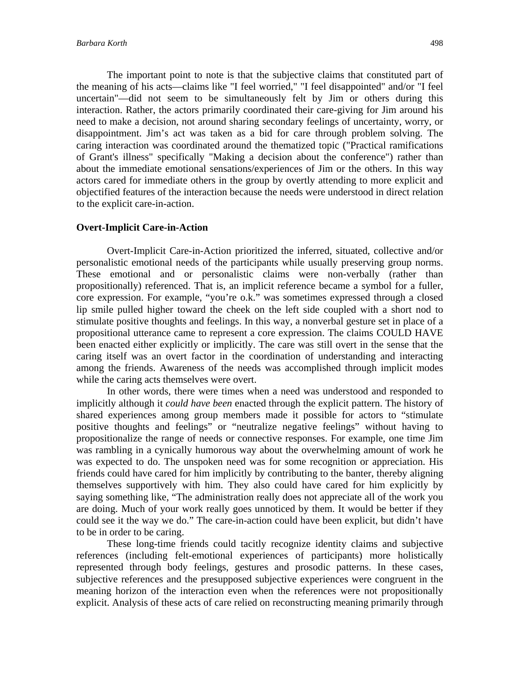The important point to note is that the subjective claims that constituted part of the meaning of his acts—claims like "I feel worried," "I feel disappointed" and/or "I feel uncertain"—did not seem to be simultaneously felt by Jim or others during this interaction. Rather, the actors primarily coordinated their care-giving for Jim around his need to make a decision, not around sharing secondary feelings of uncertainty, worry, or disappointment. Jim's act was taken as a bid for care through problem solving. The caring interaction was coordinated around the thematized topic ("Practical ramifications of Grant's illness" specifically "Making a decision about the conference") rather than about the immediate emotional sensations/experiences of Jim or the others. In this way actors cared for immediate others in the group by overtly attending to more explicit and objectified features of the interaction because the needs were understood in direct relation to the explicit care-in-action.

#### **Overt-Implicit Care-in-Action**

 Overt-Implicit Care-in-Action prioritized the inferred, situated, collective and/or personalistic emotional needs of the participants while usually preserving group norms. These emotional and or personalistic claims were non-verbally (rather than propositionally) referenced. That is, an implicit reference became a symbol for a fuller, core expression. For example, "you're o.k." was sometimes expressed through a closed lip smile pulled higher toward the cheek on the left side coupled with a short nod to stimulate positive thoughts and feelings. In this way, a nonverbal gesture set in place of a propositional utterance came to represent a core expression. The claims COULD HAVE been enacted either explicitly or implicitly. The care was still overt in the sense that the caring itself was an overt factor in the coordination of understanding and interacting among the friends. Awareness of the needs was accomplished through implicit modes while the caring acts themselves were overt.

In other words, there were times when a need was understood and responded to implicitly although it *could have been* enacted through the explicit pattern. The history of shared experiences among group members made it possible for actors to "stimulate positive thoughts and feelings" or "neutralize negative feelings" without having to propositionalize the range of needs or connective responses. For example, one time Jim was rambling in a cynically humorous way about the overwhelming amount of work he was expected to do. The unspoken need was for some recognition or appreciation. His friends could have cared for him implicitly by contributing to the banter, thereby aligning themselves supportively with him. They also could have cared for him explicitly by saying something like, "The administration really does not appreciate all of the work you are doing. Much of your work really goes unnoticed by them. It would be better if they could see it the way we do." The care-in-action could have been explicit, but didn't have to be in order to be caring.

These long-time friends could tacitly recognize identity claims and subjective references (including felt-emotional experiences of participants) more holistically represented through body feelings, gestures and prosodic patterns. In these cases, subjective references and the presupposed subjective experiences were congruent in the meaning horizon of the interaction even when the references were not propositionally explicit. Analysis of these acts of care relied on reconstructing meaning primarily through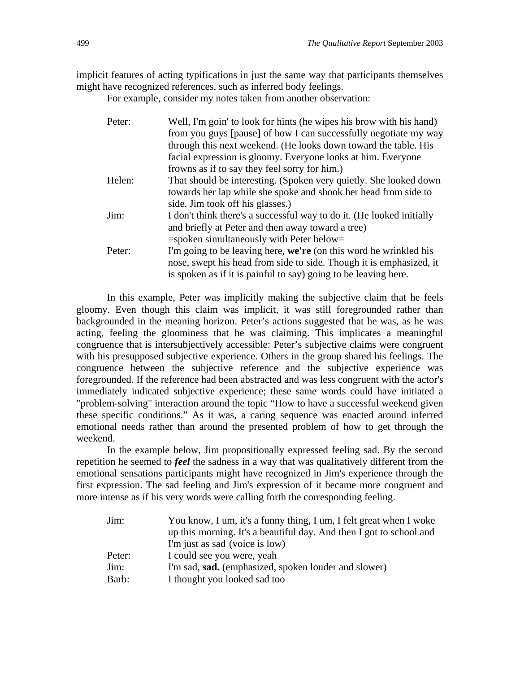implicit features of acting typifications in just the same way that participants themselves might have recognized references, such as inferred body feelings.

For example, consider my notes taken from another observation:

| Peter: | Well, I'm goin' to look for hints (he wipes his brow with his hand)<br>from you guys [pause] of how I can successfully negotiate my way<br>through this next weekend. (He looks down toward the table. His<br>facial expression is gloomy. Everyone looks at him. Everyone |
|--------|----------------------------------------------------------------------------------------------------------------------------------------------------------------------------------------------------------------------------------------------------------------------------|
|        | frowns as if to say they feel sorry for him.)                                                                                                                                                                                                                              |
| Helen: | That should be interesting. (Spoken very quietly. She looked down<br>towards her lap while she spoke and shook her head from side to                                                                                                                                       |
|        | side. Jim took off his glasses.)                                                                                                                                                                                                                                           |
| Jim:   | I don't think there's a successful way to do it. (He looked initially<br>and briefly at Peter and then away toward a tree)                                                                                                                                                 |
|        | $=$ spoken simultaneously with Peter below $=$                                                                                                                                                                                                                             |
| Peter: | I'm going to be leaving here, we're (on this word he wrinkled his<br>nose, swept his head from side to side. Though it is emphasized, it<br>is spoken as if it is painful to say) going to be leaving here.                                                                |

 In this example, Peter was implicitly making the subjective claim that he feels gloomy. Even though this claim was implicit, it was still foregrounded rather than backgrounded in the meaning horizon. Peter's actions suggested that he was, as he was acting, feeling the gloominess that he was claiming. This implicates a meaningful congruence that is intersubjectively accessible: Peter's subjective claims were congruent with his presupposed subjective experience. Others in the group shared his feelings. The congruence between the subjective reference and the subjective experience was foregrounded. If the reference had been abstracted and was less congruent with the actor's immediately indicated subjective experience; these same words could have initiated a "problem-solving" interaction around the topic "How to have a successful weekend given these specific conditions." As it was, a caring sequence was enacted around inferred emotional needs rather than around the presented problem of how to get through the weekend.

 In the example below, Jim propositionally expressed feeling sad. By the second repetition he seemed to *feel* the sadness in a way that was qualitatively different from the emotional sensations participants might have recognized in Jim's experience through the first expression. The sad feeling and Jim's expression of it became more congruent and more intense as if his very words were calling forth the corresponding feeling.

| Jim:   | You know, I um, it's a funny thing, I um, I felt great when I woke  |
|--------|---------------------------------------------------------------------|
|        | up this morning. It's a beautiful day. And then I got to school and |
|        | I'm just as sad (voice is low)                                      |
| Peter: | I could see you were, yeah                                          |
| Jim:   | I'm sad, sad. (emphasized, spoken louder and slower)                |
| Barb:  | I thought you looked sad too                                        |
|        |                                                                     |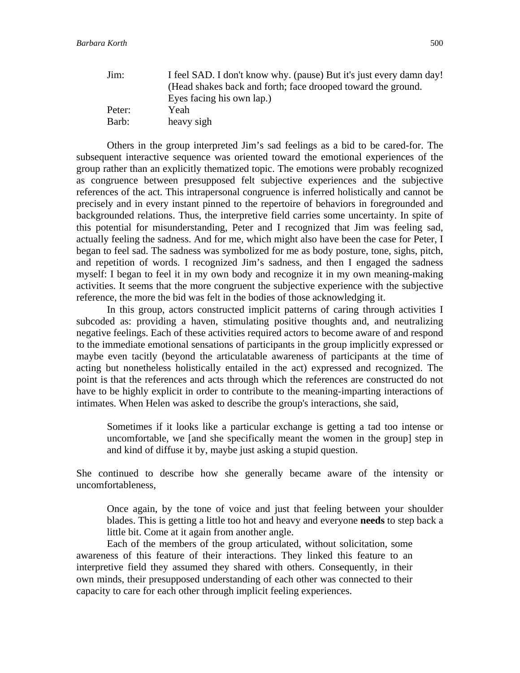| Jim:   | I feel SAD. I don't know why. (pause) But it's just every damn day! |
|--------|---------------------------------------------------------------------|
|        | (Head shakes back and forth; face drooped toward the ground.        |
|        | Eyes facing his own lap.)                                           |
| Peter: | Yeah                                                                |
| Barb:  | heavy sigh                                                          |

 Others in the group interpreted Jim's sad feelings as a bid to be cared-for. The subsequent interactive sequence was oriented toward the emotional experiences of the group rather than an explicitly thematized topic. The emotions were probably recognized as congruence between presupposed felt subjective experiences and the subjective references of the act. This intrapersonal congruence is inferred holistically and cannot be precisely and in every instant pinned to the repertoire of behaviors in foregrounded and backgrounded relations. Thus, the interpretive field carries some uncertainty. In spite of this potential for misunderstanding, Peter and I recognized that Jim was feeling sad, actually feeling the sadness. And for me, which might also have been the case for Peter, I began to feel sad. The sadness was symbolized for me as body posture, tone, sighs, pitch, and repetition of words. I recognized Jim's sadness, and then I engaged the sadness myself: I began to feel it in my own body and recognize it in my own meaning-making activities. It seems that the more congruent the subjective experience with the subjective reference, the more the bid was felt in the bodies of those acknowledging it.

 In this group, actors constructed implicit patterns of caring through activities I subcoded as: providing a haven, stimulating positive thoughts and, and neutralizing negative feelings. Each of these activities required actors to become aware of and respond to the immediate emotional sensations of participants in the group implicitly expressed or maybe even tacitly (beyond the articulatable awareness of participants at the time of acting but nonetheless holistically entailed in the act) expressed and recognized. The point is that the references and acts through which the references are constructed do not have to be highly explicit in order to contribute to the meaning-imparting interactions of intimates. When Helen was asked to describe the group's interactions, she said,

Sometimes if it looks like a particular exchange is getting a tad too intense or uncomfortable, we [and she specifically meant the women in the group] step in and kind of diffuse it by, maybe just asking a stupid question.

She continued to describe how she generally became aware of the intensity or uncomfortableness,

Once again, by the tone of voice and just that feeling between your shoulder blades. This is getting a little too hot and heavy and everyone **needs** to step back a little bit. Come at it again from another angle.

Each of the members of the group articulated, without solicitation, some awareness of this feature of their interactions. They linked this feature to an interpretive field they assumed they shared with others. Consequently, in their own minds, their presupposed understanding of each other was connected to their capacity to care for each other through implicit feeling experiences.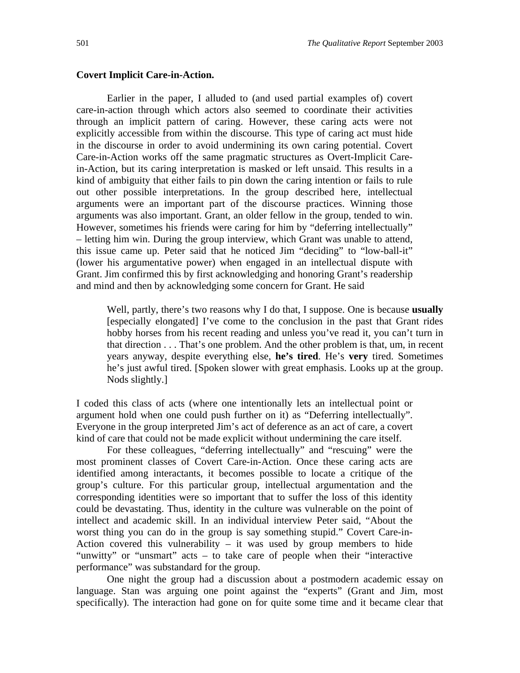#### **Covert Implicit Care-in-Action.**

 Earlier in the paper, I alluded to (and used partial examples of) covert care-in-action through which actors also seemed to coordinate their activities through an implicit pattern of caring. However, these caring acts were not explicitly accessible from within the discourse. This type of caring act must hide in the discourse in order to avoid undermining its own caring potential. Covert Care-in-Action works off the same pragmatic structures as Overt-Implicit Carein-Action, but its caring interpretation is masked or left unsaid. This results in a kind of ambiguity that either fails to pin down the caring intention or fails to rule out other possible interpretations. In the group described here, intellectual arguments were an important part of the discourse practices. Winning those arguments was also important. Grant, an older fellow in the group, tended to win. However, sometimes his friends were caring for him by "deferring intellectually" – letting him win. During the group interview, which Grant was unable to attend, this issue came up. Peter said that he noticed Jim "deciding" to "low-ball-it" (lower his argumentative power) when engaged in an intellectual dispute with Grant. Jim confirmed this by first acknowledging and honoring Grant's readership and mind and then by acknowledging some concern for Grant. He said

Well, partly, there's two reasons why I do that, I suppose. One is because **usually** [especially elongated] I've come to the conclusion in the past that Grant rides hobby horses from his recent reading and unless you've read it, you can't turn in that direction . . . That's one problem. And the other problem is that, um, in recent years anyway, despite everything else, **he's tired**. He's **very** tired. Sometimes he's just awful tired. [Spoken slower with great emphasis. Looks up at the group. Nods slightly.]

I coded this class of acts (where one intentionally lets an intellectual point or argument hold when one could push further on it) as "Deferring intellectually". Everyone in the group interpreted Jim's act of deference as an act of care, a covert kind of care that could not be made explicit without undermining the care itself.

For these colleagues, "deferring intellectually" and "rescuing" were the most prominent classes of Covert Care-in-Action. Once these caring acts are identified among interactants, it becomes possible to locate a critique of the group's culture. For this particular group, intellectual argumentation and the corresponding identities were so important that to suffer the loss of this identity could be devastating. Thus, identity in the culture was vulnerable on the point of intellect and academic skill. In an individual interview Peter said, "About the worst thing you can do in the group is say something stupid." Covert Care-in-Action covered this vulnerability  $-$  it was used by group members to hide "unwitty" or "unsmart" acts – to take care of people when their "interactive performance" was substandard for the group.

One night the group had a discussion about a postmodern academic essay on language. Stan was arguing one point against the "experts" (Grant and Jim, most specifically). The interaction had gone on for quite some time and it became clear that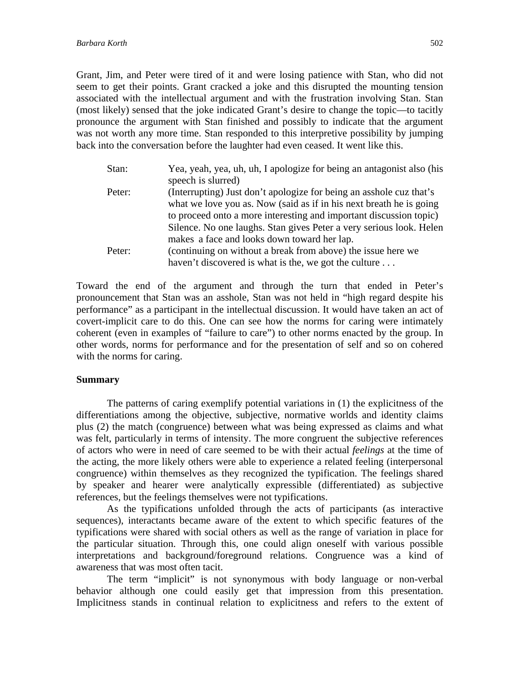Grant, Jim, and Peter were tired of it and were losing patience with Stan, who did not seem to get their points. Grant cracked a joke and this disrupted the mounting tension associated with the intellectual argument and with the frustration involving Stan. Stan (most likely) sensed that the joke indicated Grant's desire to change the topic—to tacitly pronounce the argument with Stan finished and possibly to indicate that the argument was not worth any more time. Stan responded to this interpretive possibility by jumping back into the conversation before the laughter had even ceased. It went like this.

| Stan:  | Yea, yeah, yea, uh, uh, I apologize for being an antagonist also (his |
|--------|-----------------------------------------------------------------------|
|        | speech is slurred)                                                    |
| Peter: | (Interrupting) Just don't apologize for being an asshole cuz that's   |
|        | what we love you as. Now (said as if in his next breath he is going   |
|        | to proceed onto a more interesting and important discussion topic)    |
|        | Silence. No one laughs. Stan gives Peter a very serious look. Helen   |
|        | makes a face and looks down toward her lap.                           |
| Peter: | (continuing on without a break from above) the issue here we          |
|        | haven't discovered is what is the, we got the culture                 |

Toward the end of the argument and through the turn that ended in Peter's pronouncement that Stan was an asshole, Stan was not held in "high regard despite his performance" as a participant in the intellectual discussion. It would have taken an act of covert-implicit care to do this. One can see how the norms for caring were intimately coherent (even in examples of "failure to care") to other norms enacted by the group. In other words, norms for performance and for the presentation of self and so on cohered with the norms for caring.

#### **Summary**

 The patterns of caring exemplify potential variations in (1) the explicitness of the differentiations among the objective, subjective, normative worlds and identity claims plus (2) the match (congruence) between what was being expressed as claims and what was felt, particularly in terms of intensity. The more congruent the subjective references of actors who were in need of care seemed to be with their actual *feelings* at the time of the acting, the more likely others were able to experience a related feeling (interpersonal congruence) within themselves as they recognized the typification. The feelings shared by speaker and hearer were analytically expressible (differentiated) as subjective references, but the feelings themselves were not typifications.

As the typifications unfolded through the acts of participants (as interactive sequences), interactants became aware of the extent to which specific features of the typifications were shared with social others as well as the range of variation in place for the particular situation. Through this, one could align oneself with various possible interpretations and background/foreground relations. Congruence was a kind of awareness that was most often tacit.

The term "implicit" is not synonymous with body language or non-verbal behavior although one could easily get that impression from this presentation. Implicitness stands in continual relation to explicitness and refers to the extent of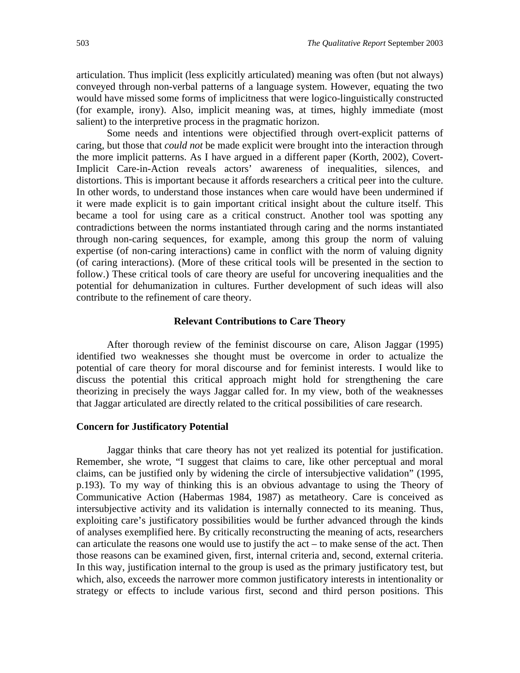articulation. Thus implicit (less explicitly articulated) meaning was often (but not always) conveyed through non-verbal patterns of a language system. However, equating the two would have missed some forms of implicitness that were logico-linguistically constructed (for example, irony). Also, implicit meaning was, at times, highly immediate (most salient) to the interpretive process in the pragmatic horizon.

 Some needs and intentions were objectified through overt-explicit patterns of caring, but those that *could not* be made explicit were brought into the interaction through the more implicit patterns. As I have argued in a different paper (Korth, 2002), Covert-Implicit Care-in-Action reveals actors' awareness of inequalities, silences, and distortions. This is important because it affords researchers a critical peer into the culture. In other words, to understand those instances when care would have been undermined if it were made explicit is to gain important critical insight about the culture itself. This became a tool for using care as a critical construct. Another tool was spotting any contradictions between the norms instantiated through caring and the norms instantiated through non-caring sequences, for example, among this group the norm of valuing expertise (of non-caring interactions) came in conflict with the norm of valuing dignity (of caring interactions). (More of these critical tools will be presented in the section to follow.) These critical tools of care theory are useful for uncovering inequalities and the potential for dehumanization in cultures. Further development of such ideas will also contribute to the refinement of care theory.

#### **Relevant Contributions to Care Theory**

 After thorough review of the feminist discourse on care, Alison Jaggar (1995) identified two weaknesses she thought must be overcome in order to actualize the potential of care theory for moral discourse and for feminist interests. I would like to discuss the potential this critical approach might hold for strengthening the care theorizing in precisely the ways Jaggar called for. In my view, both of the weaknesses that Jaggar articulated are directly related to the critical possibilities of care research.

#### **Concern for Justificatory Potential**

 Jaggar thinks that care theory has not yet realized its potential for justification. Remember, she wrote, "I suggest that claims to care, like other perceptual and moral claims, can be justified only by widening the circle of intersubjective validation" (1995, p.193). To my way of thinking this is an obvious advantage to using the Theory of Communicative Action (Habermas 1984, 1987) as metatheory. Care is conceived as intersubjective activity and its validation is internally connected to its meaning. Thus, exploiting care's justificatory possibilities would be further advanced through the kinds of analyses exemplified here. By critically reconstructing the meaning of acts, researchers can articulate the reasons one would use to justify the act – to make sense of the act. Then those reasons can be examined given, first, internal criteria and, second, external criteria. In this way, justification internal to the group is used as the primary justificatory test, but which, also, exceeds the narrower more common justificatory interests in intentionality or strategy or effects to include various first, second and third person positions. This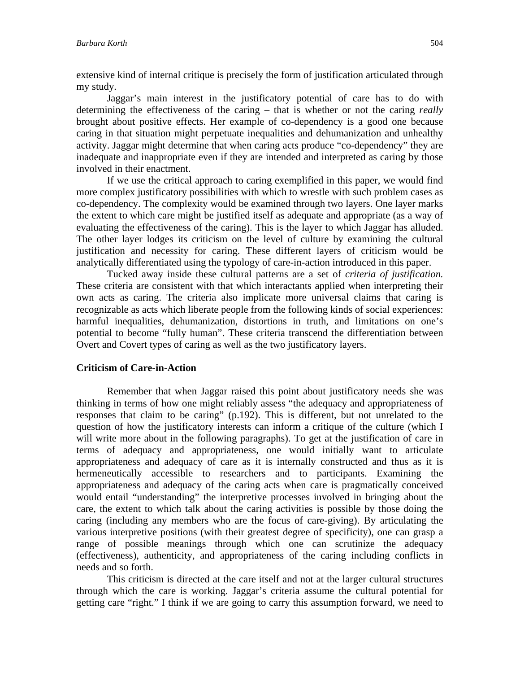extensive kind of internal critique is precisely the form of justification articulated through my study.

Jaggar's main interest in the justificatory potential of care has to do with determining the effectiveness of the caring – that is whether or not the caring *really* brought about positive effects. Her example of co-dependency is a good one because caring in that situation might perpetuate inequalities and dehumanization and unhealthy activity. Jaggar might determine that when caring acts produce "co-dependency" they are inadequate and inappropriate even if they are intended and interpreted as caring by those involved in their enactment.

If we use the critical approach to caring exemplified in this paper, we would find more complex justificatory possibilities with which to wrestle with such problem cases as co-dependency. The complexity would be examined through two layers. One layer marks the extent to which care might be justified itself as adequate and appropriate (as a way of evaluating the effectiveness of the caring). This is the layer to which Jaggar has alluded. The other layer lodges its criticism on the level of culture by examining the cultural justification and necessity for caring. These different layers of criticism would be analytically differentiated using the typology of care-in-action introduced in this paper.

Tucked away inside these cultural patterns are a set of *criteria of justification.* These criteria are consistent with that which interactants applied when interpreting their own acts as caring. The criteria also implicate more universal claims that caring is recognizable as acts which liberate people from the following kinds of social experiences: harmful inequalities, dehumanization, distortions in truth, and limitations on one's potential to become "fully human". These criteria transcend the differentiation between Overt and Covert types of caring as well as the two justificatory layers.

#### **Criticism of Care-in-Action**

Remember that when Jaggar raised this point about justificatory needs she was thinking in terms of how one might reliably assess "the adequacy and appropriateness of responses that claim to be caring" (p.192). This is different, but not unrelated to the question of how the justificatory interests can inform a critique of the culture (which I will write more about in the following paragraphs). To get at the justification of care in terms of adequacy and appropriateness, one would initially want to articulate appropriateness and adequacy of care as it is internally constructed and thus as it is hermeneutically accessible to researchers and to participants. Examining the appropriateness and adequacy of the caring acts when care is pragmatically conceived would entail "understanding" the interpretive processes involved in bringing about the care, the extent to which talk about the caring activities is possible by those doing the caring (including any members who are the focus of care-giving). By articulating the various interpretive positions (with their greatest degree of specificity), one can grasp a range of possible meanings through which one can scrutinize the adequacy (effectiveness), authenticity, and appropriateness of the caring including conflicts in needs and so forth.

This criticism is directed at the care itself and not at the larger cultural structures through which the care is working. Jaggar's criteria assume the cultural potential for getting care "right." I think if we are going to carry this assumption forward, we need to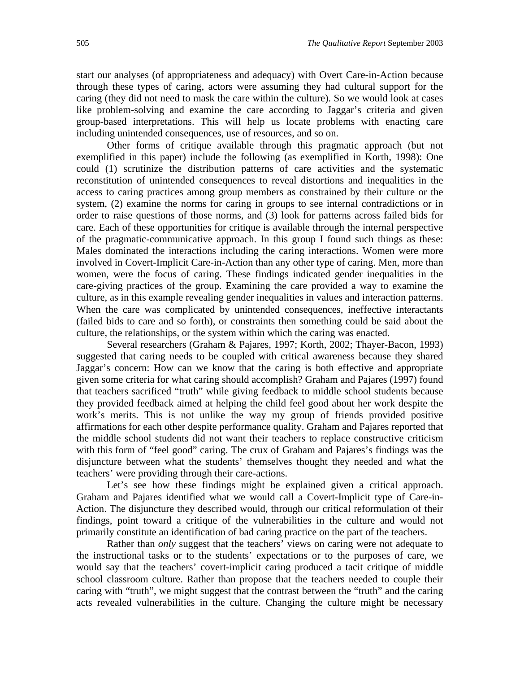start our analyses (of appropriateness and adequacy) with Overt Care-in-Action because through these types of caring, actors were assuming they had cultural support for the caring (they did not need to mask the care within the culture). So we would look at cases like problem-solving and examine the care according to Jaggar's criteria and given group-based interpretations. This will help us locate problems with enacting care including unintended consequences, use of resources, and so on.

Other forms of critique available through this pragmatic approach (but not exemplified in this paper) include the following (as exemplified in Korth, 1998): One could (1) scrutinize the distribution patterns of care activities and the systematic reconstitution of unintended consequences to reveal distortions and inequalities in the access to caring practices among group members as constrained by their culture or the system, (2) examine the norms for caring in groups to see internal contradictions or in order to raise questions of those norms, and (3) look for patterns across failed bids for care. Each of these opportunities for critique is available through the internal perspective of the pragmatic-communicative approach. In this group I found such things as these: Males dominated the interactions including the caring interactions. Women were more involved in Covert-Implicit Care-in-Action than any other type of caring. Men, more than women, were the focus of caring. These findings indicated gender inequalities in the care-giving practices of the group. Examining the care provided a way to examine the culture, as in this example revealing gender inequalities in values and interaction patterns. When the care was complicated by unintended consequences, ineffective interactants (failed bids to care and so forth), or constraints then something could be said about the culture, the relationships, or the system within which the caring was enacted.

Several researchers (Graham & Pajares, 1997; Korth, 2002; Thayer-Bacon, 1993) suggested that caring needs to be coupled with critical awareness because they shared Jaggar's concern: How can we know that the caring is both effective and appropriate given some criteria for what caring should accomplish? Graham and Pajares (1997) found that teachers sacrificed "truth" while giving feedback to middle school students because they provided feedback aimed at helping the child feel good about her work despite the work's merits. This is not unlike the way my group of friends provided positive affirmations for each other despite performance quality. Graham and Pajares reported that the middle school students did not want their teachers to replace constructive criticism with this form of "feel good" caring. The crux of Graham and Pajares's findings was the disjuncture between what the students' themselves thought they needed and what the teachers' were providing through their care-actions.

Let's see how these findings might be explained given a critical approach. Graham and Pajares identified what we would call a Covert-Implicit type of Care-in-Action. The disjuncture they described would, through our critical reformulation of their findings, point toward a critique of the vulnerabilities in the culture and would not primarily constitute an identification of bad caring practice on the part of the teachers.

Rather than *only* suggest that the teachers' views on caring were not adequate to the instructional tasks or to the students' expectations or to the purposes of care, we would say that the teachers' covert-implicit caring produced a tacit critique of middle school classroom culture. Rather than propose that the teachers needed to couple their caring with "truth", we might suggest that the contrast between the "truth" and the caring acts revealed vulnerabilities in the culture. Changing the culture might be necessary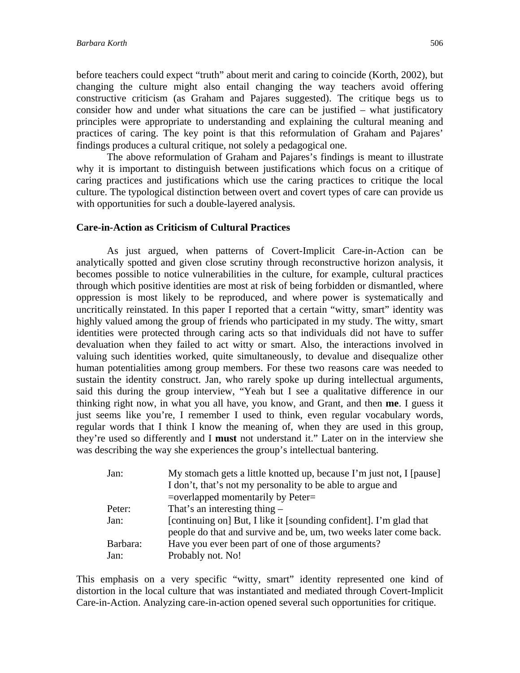before teachers could expect "truth" about merit and caring to coincide (Korth, 2002), but changing the culture might also entail changing the way teachers avoid offering constructive criticism (as Graham and Pajares suggested). The critique begs us to consider how and under what situations the care can be justified – what justificatory principles were appropriate to understanding and explaining the cultural meaning and practices of caring. The key point is that this reformulation of Graham and Pajares' findings produces a cultural critique, not solely a pedagogical one.

The above reformulation of Graham and Pajares's findings is meant to illustrate why it is important to distinguish between justifications which focus on a critique of caring practices and justifications which use the caring practices to critique the local culture. The typological distinction between overt and covert types of care can provide us with opportunities for such a double-layered analysis.

#### **Care-in-Action as Criticism of Cultural Practices**

As just argued, when patterns of Covert-Implicit Care-in-Action can be analytically spotted and given close scrutiny through reconstructive horizon analysis, it becomes possible to notice vulnerabilities in the culture, for example, cultural practices through which positive identities are most at risk of being forbidden or dismantled, where oppression is most likely to be reproduced, and where power is systematically and uncritically reinstated. In this paper I reported that a certain "witty, smart" identity was highly valued among the group of friends who participated in my study. The witty, smart identities were protected through caring acts so that individuals did not have to suffer devaluation when they failed to act witty or smart. Also, the interactions involved in valuing such identities worked, quite simultaneously, to devalue and disequalize other human potentialities among group members. For these two reasons care was needed to sustain the identity construct. Jan, who rarely spoke up during intellectual arguments, said this during the group interview, "Yeah but I see a qualitative difference in our thinking right now, in what you all have, you know, and Grant, and then **me**. I guess it just seems like you're, I remember I used to think, even regular vocabulary words, regular words that I think I know the meaning of, when they are used in this group, they're used so differently and I **must** not understand it." Later on in the interview she was describing the way she experiences the group's intellectual bantering.

| Jan:     | My stomach gets a little knotted up, because I'm just not, I [pause] |
|----------|----------------------------------------------------------------------|
|          | I don't, that's not my personality to be able to argue and           |
|          | $=$ overlapped momentarily by Peter $=$                              |
| Peter:   | That's an interesting thing $-$                                      |
| Jan:     | [continuing on] But, I like it [sounding confident]. I'm glad that   |
|          | people do that and survive and be, um, two weeks later come back.    |
| Barbara: | Have you ever been part of one of those arguments?                   |
| Jan:     | Probably not. No!                                                    |

This emphasis on a very specific "witty, smart" identity represented one kind of distortion in the local culture that was instantiated and mediated through Covert-Implicit Care-in-Action. Analyzing care-in-action opened several such opportunities for critique.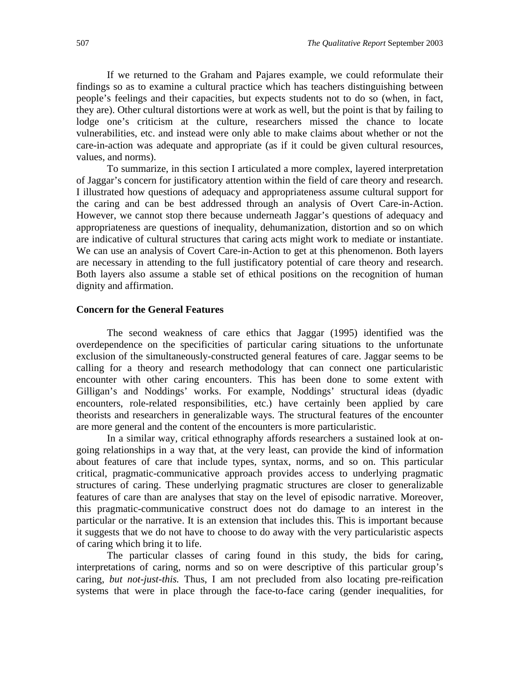If we returned to the Graham and Pajares example, we could reformulate their findings so as to examine a cultural practice which has teachers distinguishing between people's feelings and their capacities, but expects students not to do so (when, in fact, they are). Other cultural distortions were at work as well, but the point is that by failing to lodge one's criticism at the culture, researchers missed the chance to locate vulnerabilities, etc. and instead were only able to make claims about whether or not the care-in-action was adequate and appropriate (as if it could be given cultural resources, values, and norms).

To summarize, in this section I articulated a more complex, layered interpretation of Jaggar's concern for justificatory attention within the field of care theory and research. I illustrated how questions of adequacy and appropriateness assume cultural support for the caring and can be best addressed through an analysis of Overt Care-in-Action. However, we cannot stop there because underneath Jaggar's questions of adequacy and appropriateness are questions of inequality, dehumanization, distortion and so on which are indicative of cultural structures that caring acts might work to mediate or instantiate. We can use an analysis of Covert Care-in-Action to get at this phenomenon. Both layers are necessary in attending to the full justificatory potential of care theory and research. Both layers also assume a stable set of ethical positions on the recognition of human dignity and affirmation.

#### **Concern for the General Features**

 The second weakness of care ethics that Jaggar (1995) identified was the overdependence on the specificities of particular caring situations to the unfortunate exclusion of the simultaneously-constructed general features of care. Jaggar seems to be calling for a theory and research methodology that can connect one particularistic encounter with other caring encounters. This has been done to some extent with Gilligan's and Noddings' works. For example, Noddings' structural ideas (dyadic encounters, role-related responsibilities, etc.) have certainly been applied by care theorists and researchers in generalizable ways. The structural features of the encounter are more general and the content of the encounters is more particularistic.

In a similar way, critical ethnography affords researchers a sustained look at ongoing relationships in a way that, at the very least, can provide the kind of information about features of care that include types, syntax, norms, and so on. This particular critical, pragmatic-communicative approach provides access to underlying pragmatic structures of caring. These underlying pragmatic structures are closer to generalizable features of care than are analyses that stay on the level of episodic narrative. Moreover, this pragmatic-communicative construct does not do damage to an interest in the particular or the narrative. It is an extension that includes this. This is important because it suggests that we do not have to choose to do away with the very particularistic aspects of caring which bring it to life.

The particular classes of caring found in this study, the bids for caring, interpretations of caring, norms and so on were descriptive of this particular group's caring, *but not-just-this.* Thus, I am not precluded from also locating pre-reification systems that were in place through the face-to-face caring (gender inequalities, for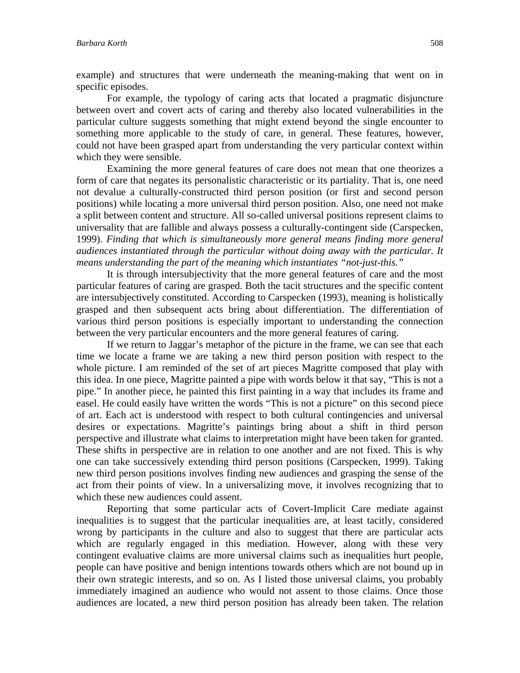example) and structures that were underneath the meaning-making that went on in specific episodes.

For example, the typology of caring acts that located a pragmatic disjuncture between overt and covert acts of caring and thereby also located vulnerabilities in the particular culture suggests something that might extend beyond the single encounter to something more applicable to the study of care, in general. These features, however, could not have been grasped apart from understanding the very particular context within which they were sensible.

Examining the more general features of care does not mean that one theorizes a form of care that negates its personalistic characteristic or its partiality. That is, one need not devalue a culturally-constructed third person position (or first and second person positions) while locating a more universal third person position. Also, one need not make a split between content and structure. All so-called universal positions represent claims to universality that are fallible and always possess a culturally-contingent side (Carspecken, 1999). *Finding that which is simultaneously more general means finding more general audiences instantiated through the particular without doing away with the particular. It means understanding the part of the meaning which instantiates "not-just-this."* 

It is through intersubjectivity that the more general features of care and the most particular features of caring are grasped. Both the tacit structures and the specific content are intersubjectively constituted. According to Carspecken (1993), meaning is holistically grasped and then subsequent acts bring about differentiation. The differentiation of various third person positions is especially important to understanding the connection between the very particular encounters and the more general features of caring.

If we return to Jaggar's metaphor of the picture in the frame, we can see that each time we locate a frame we are taking a new third person position with respect to the whole picture. I am reminded of the set of art pieces Magritte composed that play with this idea. In one piece, Magritte painted a pipe with words below it that say, "This is not a pipe." In another piece, he painted this first painting in a way that includes its frame and easel. He could easily have written the words "This is not a picture" on this second piece of art. Each act is understood with respect to both cultural contingencies and universal desires or expectations. Magritte's paintings bring about a shift in third person perspective and illustrate what claims to interpretation might have been taken for granted. These shifts in perspective are in relation to one another and are not fixed. This is why one can take successively extending third person positions (Carspecken, 1999). Taking new third person positions involves finding new audiences and grasping the sense of the act from their points of view. In a universalizing move, it involves recognizing that to which these new audiences could assent.

Reporting that some particular acts of Covert-Implicit Care mediate against inequalities is to suggest that the particular inequalities are, at least tacitly, considered wrong by participants in the culture and also to suggest that there are particular acts which are regularly engaged in this mediation. However, along with these very contingent evaluative claims are more universal claims such as inequalities hurt people, people can have positive and benign intentions towards others which are not bound up in their own strategic interests, and so on. As I listed those universal claims, you probably immediately imagined an audience who would not assent to those claims. Once those audiences are located, a new third person position has already been taken. The relation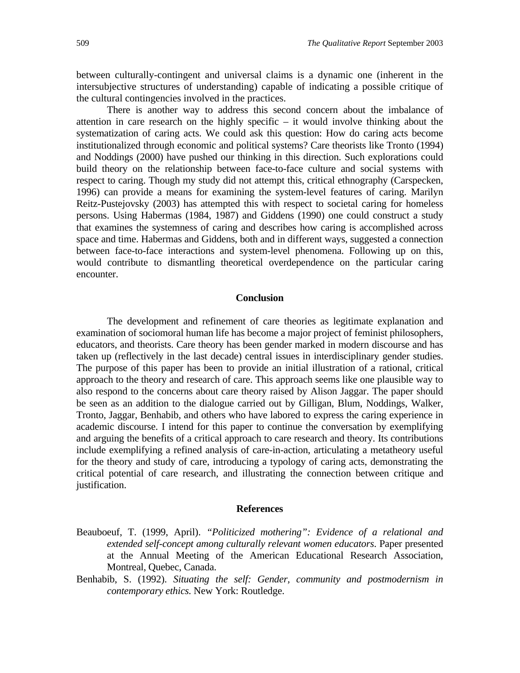between culturally-contingent and universal claims is a dynamic one (inherent in the intersubjective structures of understanding) capable of indicating a possible critique of the cultural contingencies involved in the practices.

There is another way to address this second concern about the imbalance of attention in care research on the highly specific – it would involve thinking about the systematization of caring acts. We could ask this question: How do caring acts become institutionalized through economic and political systems? Care theorists like Tronto (1994) and Noddings (2000) have pushed our thinking in this direction. Such explorations could build theory on the relationship between face-to-face culture and social systems with respect to caring. Though my study did not attempt this, critical ethnography (Carspecken, 1996) can provide a means for examining the system-level features of caring. Marilyn Reitz-Pustejovsky (2003) has attempted this with respect to societal caring for homeless persons. Using Habermas (1984, 1987) and Giddens (1990) one could construct a study that examines the systemness of caring and describes how caring is accomplished across space and time. Habermas and Giddens, both and in different ways, suggested a connection between face-to-face interactions and system-level phenomena. Following up on this, would contribute to dismantling theoretical overdependence on the particular caring encounter.

#### **Conclusion**

The development and refinement of care theories as legitimate explanation and examination of sociomoral human life has become a major project of feminist philosophers, educators, and theorists. Care theory has been gender marked in modern discourse and has taken up (reflectively in the last decade) central issues in interdisciplinary gender studies. The purpose of this paper has been to provide an initial illustration of a rational, critical approach to the theory and research of care. This approach seems like one plausible way to also respond to the concerns about care theory raised by Alison Jaggar. The paper should be seen as an addition to the dialogue carried out by Gilligan, Blum, Noddings, Walker, Tronto, Jaggar, Benhabib, and others who have labored to express the caring experience in academic discourse. I intend for this paper to continue the conversation by exemplifying and arguing the benefits of a critical approach to care research and theory. Its contributions include exemplifying a refined analysis of care-in-action, articulating a metatheory useful for the theory and study of care, introducing a typology of caring acts, demonstrating the critical potential of care research, and illustrating the connection between critique and justification.

#### **References**

- Beauboeuf, T. (1999, April). *"Politicized mothering": Evidence of a relational and extended self-concept among culturally relevant women educators*. Paper presented at the Annual Meeting of the American Educational Research Association*,*  Montreal, Quebec, Canada.
- Benhabib, S. (1992). *Situating the self: Gender, community and postmodernism in contemporary ethics.* New York: Routledge.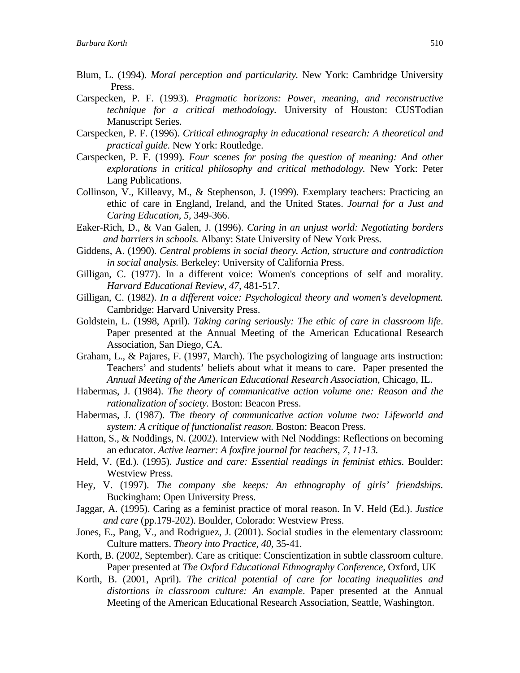- Blum, L. (1994). *Moral perception and particularity.* New York: Cambridge University Press.
- Carspecken, P. F. (1993). *Pragmatic horizons: Power, meaning, and reconstructive technique for a critical methodology.* University of Houston: CUSTodian Manuscript Series.
- Carspecken, P. F. (1996). *Critical ethnography in educational research: A theoretical and practical guide.* New York: Routledge.
- Carspecken, P. F. (1999). *Four scenes for posing the question of meaning: And other explorations in critical philosophy and critical methodology.* New York: Peter Lang Publications.
- Collinson, V., Killeavy, M., & Stephenson, J. (1999). Exemplary teachers: Practicing an ethic of care in England, Ireland, and the United States. *Journal for a Just and Caring Education, 5,* 349-366.
- Eaker-Rich, D., & Van Galen, J. (1996). *Caring in an unjust world: Negotiating borders and barriers in schools.* Albany: State University of New York Press.
- Giddens, A. (1990). *Central problems in social theory. Action, structure and contradiction in social analysis.* Berkeley: University of California Press.
- Gilligan, C. (1977). In a different voice: Women's conceptions of self and morality. *Harvard Educational Review, 47,* 481-517.
- Gilligan, C. (1982). *In a different voice: Psychological theory and women's development.* Cambridge: Harvard University Press.
- Goldstein, L. (1998, April). *Taking caring seriously: The ethic of care in classroom life*. Paper presented at the Annual Meeting of the American Educational Research Association*,* San Diego, CA.
- Graham, L., & Pajares, F. (1997, March). The psychologizing of language arts instruction: Teachers' and students' beliefs about what it means to care. Paper presented the *Annual Meeting of the American Educational Research Association,* Chicago, IL.
- Habermas, J. (1984). *The theory of communicative action volume one: Reason and the rationalization of society.* Boston: Beacon Press.
- Habermas, J. (1987). *The theory of communicative action volume two: Lifeworld and system: A critique of functionalist reason.* Boston: Beacon Press.
- Hatton, S., & Noddings, N. (2002). Interview with Nel Noddings: Reflections on becoming an educator. *Active learner: A foxfire journal for teachers, 7, 11-13.*
- Held, V. (Ed.). (1995). *Justice and care: Essential readings in feminist ethics.* Boulder: Westview Press.
- Hey, V. (1997). *The company she keeps: An ethnography of girls' friendships.* Buckingham: Open University Press.
- Jaggar, A. (1995). Caring as a feminist practice of moral reason. In V. Held (Ed.). *Justice and care* (pp.179-202). Boulder, Colorado: Westview Press.
- Jones, E., Pang, V., and Rodriguez, J. (2001). Social studies in the elementary classroom: Culture matters. *Theory into Practice, 40,* 35-41.
- Korth, B. (2002, September). Care as critique: Conscientization in subtle classroom culture. Paper presented at *The Oxford Educational Ethnography Conference,* Oxford, UK
- Korth, B. (2001, April). *The critical potential of care for locating inequalities and distortions in classroom culture: An example*. Paper presented at the Annual Meeting of the American Educational Research Association, Seattle, Washington.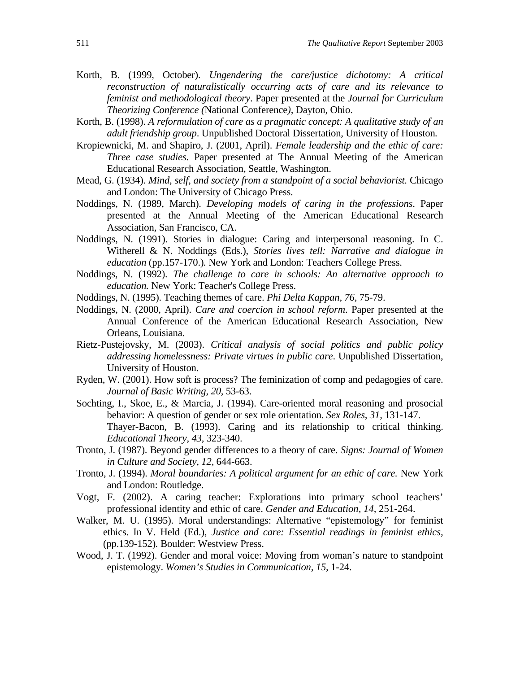- Korth, B. (1999, October). *Ungendering the care/justice dichotomy: A critical reconstruction of naturalistically occurring acts of care and its relevance to feminist and methodological theory*. Paper presented at the *Journal for Curriculum Theorizing Conference (*National Conference*),* Dayton, Ohio.
- Korth, B. (1998). *A reformulation of care as a pragmatic concept: A qualitative study of an adult friendship group*. Unpublished Doctoral Dissertation*,* University of Houston*.*
- Kropiewnicki, M. and Shapiro, J. (2001, April). *Female leadership and the ethic of care: Three case studies*. Paper presented at The Annual Meeting of the American Educational Research Association, Seattle, Washington.
- Mead, G. (1934). *Mind, self, and society from a standpoint of a social behaviorist.* Chicago and London: The University of Chicago Press.
- Noddings, N. (1989, March). *Developing models of caring in the professions*. Paper presented at the Annual Meeting of the American Educational Research Association*,* San Francisco, CA.
- Noddings, N. (1991). Stories in dialogue: Caring and interpersonal reasoning. In C. Witherell & N. Noddings (Eds.), *Stories lives tell: Narrative and dialogue in education* (pp.157-170.)*.* New York and London: Teachers College Press.
- Noddings, N. (1992). *The challenge to care in schools: An alternative approach to education.* New York: Teacher's College Press.
- Noddings, N. (1995). Teaching themes of care. *Phi Delta Kappan, 76,* 75-79.
- Noddings, N. (2000, April). *Care and coercion in school reform*. Paper presented at the Annual Conference of the American Educational Research Association, New Orleans, Louisiana.
- Rietz-Pustejovsky, M. (2003). *Critical analysis of social politics and public policy addressing homelessness: Private virtues in public care*. Unpublished Dissertation, University of Houston.
- Ryden, W. (2001). How soft is process? The feminization of comp and pedagogies of care. *Journal of Basic Writing, 20,* 53-63.
- Sochting, I., Skoe, E., & Marcia, J. (1994). Care-oriented moral reasoning and prosocial behavior: A question of gender or sex role orientation. *Sex Roles, 31,* 131-147. Thayer-Bacon, B. (1993). Caring and its relationship to critical thinking. *Educational Theory, 43,* 323-340.
- Tronto, J. (1987). Beyond gender differences to a theory of care. *Signs: Journal of Women in Culture and Society, 12,* 644-663.
- Tronto, J. (1994). *Moral boundaries: A political argument for an ethic of care.* New York and London: Routledge.
- Vogt, F. (2002). A caring teacher: Explorations into primary school teachers' professional identity and ethic of care. *Gender and Education, 14,* 251-264.
- Walker, M. U. (1995). Moral understandings: Alternative "epistemology" for feminist ethics. In V. Held (Ed.), *Justice and care: Essential readings in feminist ethics,* (pp.139-152)*.* Boulder: Westview Press.
- Wood, J. T. (1992). Gender and moral voice: Moving from woman's nature to standpoint epistemology. *Women's Studies in Communication, 15,* 1-24.